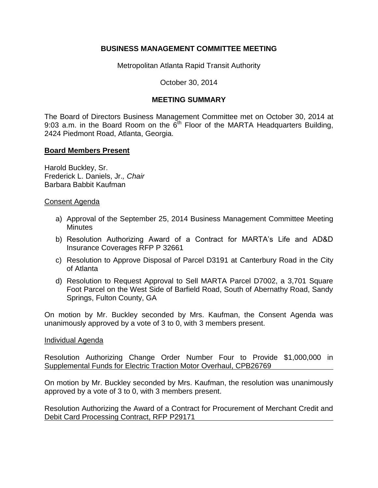# **BUSINESS MANAGEMENT COMMITTEE MEETING**

Metropolitan Atlanta Rapid Transit Authority

October 30, 2014

# **MEETING SUMMARY**

The Board of Directors Business Management Committee met on October 30, 2014 at 9:03 a.m. in the Board Room on the  $6<sup>th</sup>$  Floor of the MARTA Headquarters Building, 2424 Piedmont Road, Atlanta, Georgia.

## **Board Members Present**

Harold Buckley, Sr. Frederick L. Daniels, Jr.*, Chair* Barbara Babbit Kaufman

### Consent Agenda

- a) Approval of the September 25, 2014 Business Management Committee Meeting **Minutes**
- b) Resolution Authorizing Award of a Contract for MARTA's Life and AD&D Insurance Coverages RFP P 32661
- c) Resolution to Approve Disposal of Parcel D3191 at Canterbury Road in the City of Atlanta
- d) Resolution to Request Approval to Sell MARTA Parcel D7002, a 3,701 Square Foot Parcel on the West Side of Barfield Road, South of Abernathy Road, Sandy Springs, Fulton County, GA

On motion by Mr. Buckley seconded by Mrs. Kaufman, the Consent Agenda was unanimously approved by a vote of 3 to 0, with 3 members present.

### Individual Agenda

Resolution Authorizing Change Order Number Four to Provide \$1,000,000 in Supplemental Funds for Electric Traction Motor Overhaul, CPB26769

On motion by Mr. Buckley seconded by Mrs. Kaufman, the resolution was unanimously approved by a vote of 3 to 0, with 3 members present.

Resolution Authorizing the Award of a Contract for Procurement of Merchant Credit and Debit Card Processing Contract, RFP P29171